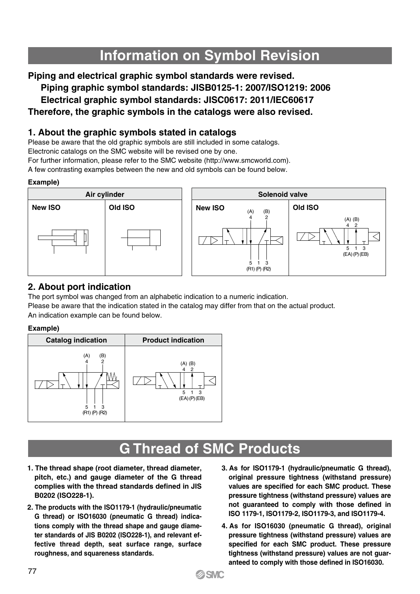# **Information on Symbol Revision**

**Piping and electrical graphic symbol standards were revised.**

**Piping graphic symbol standards: JISB0125-1: 2007/ISO1219: 2006**

**Electrical graphic symbol standards: JISC0617: 2011/IEC60617**

## **Therefore, the graphic symbols in the catalogs were also revised.**

### **1. About the graphic symbols stated in catalogs**

Please be aware that the old graphic symbols are still included in some catalogs.

Electronic catalogs on the SMC website will be revised one by one.

For further information, please refer to the SMC website (http://www.smcworld.com).

A few contrasting examples between the new and old symbols can be found below.

#### **Example)**



### **2. About port indication**

The port symbol was changed from an alphabetic indication to a numeric indication. Please be aware that the indication stated in the catalog may differ from that on the actual product. An indication example can be found below.

#### **Example)**



## **G Thread of SMC Products**

- **1. The thread shape (root diameter, thread diameter, pitch, etc.) and gauge diameter of the G thread complies with the thread standards defined in JIS B0202 (ISO228-1).**
- **2. The products with the ISO1179-1 (hydraulic/pneumatic G thread) or ISO16030 (pneumatic G thread) indications comply with the thread shape and gauge diameter standards of JIS B0202 (ISO228-1), and relevant effective thread depth, seat surface range, surface roughness, and squareness standards.**
- **3. As for ISO1179-1 (hydraulic/pneumatic G thread), original pressure tightness (withstand pressure) values are specified for each SMC product. These pressure tightness (withstand pressure) values are not guaranteed to comply with those defined in ISO 1179-1, ISO1179-2, ISO1179-3, and ISO1179-4.**
- **4. As for ISO16030 (pneumatic G thread), original pressure tightness (withstand pressure) values are specified for each SMC product. These pressure tightness (withstand pressure) values are not guaranteed to comply with those defined in ISO16030.**